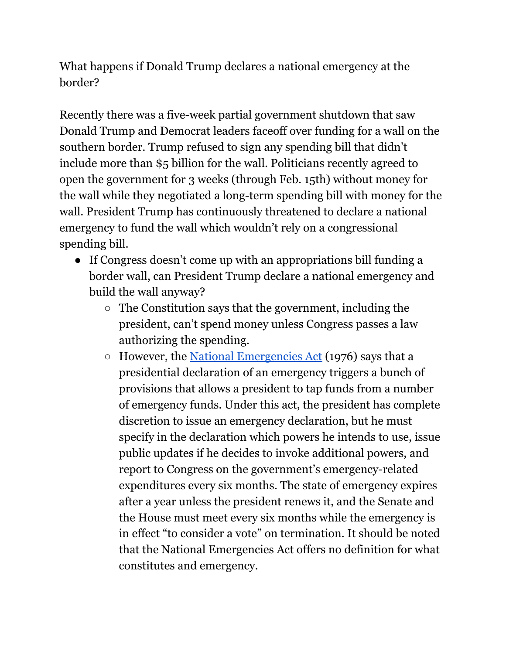What happens if Donald Trump declares a national emergency at the border?

Recently there was a five-week partial government shutdown that saw Donald Trump and Democrat leaders faceoff over funding for a wall on the southern border. Trump refused to sign any spending bill that didn't include more than \$5 billion for the wall. Politicians recently agreed to open the government for 3 weeks (through Feb. 15th) without money for the wall while they negotiated a long-term spending bill with money for the wall. President Trump has continuously threatened to declare a national emergency to fund the wall which wouldn't rely on a congressional spending bill.

- If Congress doesn't come up with an appropriations bill funding a border wall, can President Trump declare a national emergency and build the wall anyway?
	- The Constitution says that the government, including the president, can't spend money unless Congress passes a law authorizing the spending.
	- However, the National [Emergencies](https://www.govinfo.gov/content/pkg/HMAN-112/pdf/HMAN-112-pg1119.pdf) Act (1976) says that a presidential declaration of an emergency triggers a bunch of provisions that allows a president to tap funds from a number of emergency funds. Under this act, the president has complete discretion to issue an emergency declaration, but he must specify in the declaration which powers he intends to use, issue public updates if he decides to invoke additional powers, and report to Congress on the government's emergency-related expenditures every six months. The state of emergency expires after a year unless the president renews it, and the Senate and the House must meet every six months while the emergency is in effect "to consider a vote" on termination. It should be noted that the National Emergencies Act offers no definition for what constitutes and emergency.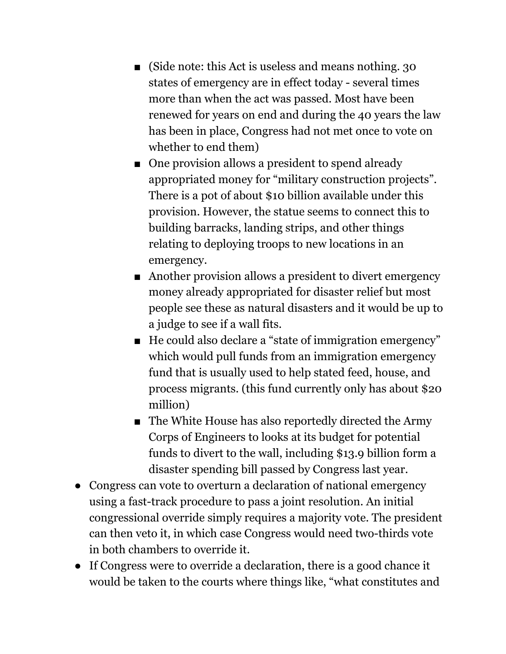- (Side note: this Act is useless and means nothing. 30 states of emergency are in effect today - several times more than when the act was passed. Most have been renewed for years on end and during the 40 years the law has been in place, Congress had not met once to vote on whether to end them)
- One provision allows a president to spend already appropriated money for "military construction projects". There is a pot of about \$10 billion available under this provision. However, the statue seems to connect this to building barracks, landing strips, and other things relating to deploying troops to new locations in an emergency.
- Another provision allows a president to divert emergency money already appropriated for disaster relief but most people see these as natural disasters and it would be up to a judge to see if a wall fits.
- He could also declare a "state of immigration emergency" which would pull funds from an immigration emergency fund that is usually used to help stated feed, house, and process migrants. (this fund currently only has about \$20 million)
- The White House has also reportedly directed the Army Corps of Engineers to looks at its budget for potential funds to divert to the wall, including \$13.9 billion form a disaster spending bill passed by Congress last year.
- Congress can vote to overturn a declaration of national emergency using a fast-track procedure to pass a joint resolution. An initial congressional override simply requires a majority vote. The president can then veto it, in which case Congress would need two-thirds vote in both chambers to override it.
- If Congress were to override a declaration, there is a good chance it would be taken to the courts where things like, "what constitutes and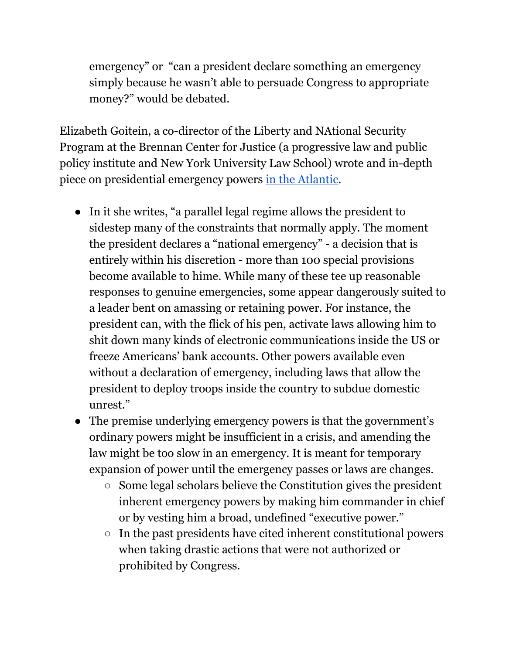emergency" or "can a president declare something an emergency simply because he wasn't able to persuade Congress to appropriate money?" would be debated.

Elizabeth Goitein, a co-director of the Liberty and NAtional Security Program at the Brennan Center for Justice (a progressive law and public policy institute and New York University Law School) wrote and in-depth piece on presidential emergency powers in the [Atlantic.](https://www.theatlantic.com/magazine/archive/2019/01/presidential-emergency-powers/576418/)

- In it she writes, "a parallel legal regime allows the president to sidestep many of the constraints that normally apply. The moment the president declares a "national emergency" - a decision that is entirely within his discretion - more than 100 special provisions become available to hime. While many of these tee up reasonable responses to genuine emergencies, some appear dangerously suited to a leader bent on amassing or retaining power. For instance, the president can, with the flick of his pen, activate laws allowing him to shit down many kinds of electronic communications inside the US or freeze Americans' bank accounts. Other powers available even without a declaration of emergency, including laws that allow the president to deploy troops inside the country to subdue domestic unrest."
- The premise underlying emergency powers is that the government's ordinary powers might be insufficient in a crisis, and amending the law might be too slow in an emergency. It is meant for temporary expansion of power until the emergency passes or laws are changes.
	- Some legal scholars believe the Constitution gives the president inherent emergency powers by making him commander in chief or by vesting him a broad, undefined "executive power."
	- $\circ$  In the past presidents have cited inherent constitutional powers when taking drastic actions that were not authorized or prohibited by Congress.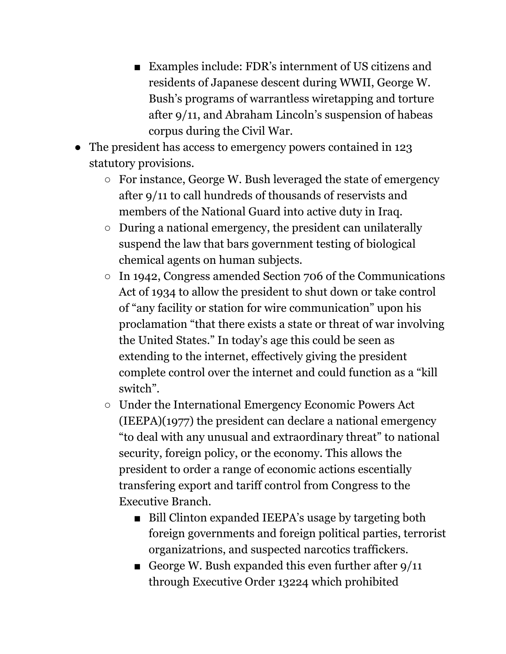- Examples include: FDR's internment of US citizens and residents of Japanese descent during WWII, George W. Bush's programs of warrantless wiretapping and torture after 9/11, and Abraham Lincoln's suspension of habeas corpus during the Civil War.
- The president has access to emergency powers contained in 123 statutory provisions.
	- For instance, George W. Bush leveraged the state of emergency after 9/11 to call hundreds of thousands of reservists and members of the National Guard into active duty in Iraq.
	- During a national emergency, the president can unilaterally suspend the law that bars government testing of biological chemical agents on human subjects.
	- In 1942, Congress amended Section 706 of the Communications Act of 1934 to allow the president to shut down or take control of "any facility or station for wire communication" upon his proclamation "that there exists a state or threat of war involving the United States." In today's age this could be seen as extending to the internet, effectively giving the president complete control over the internet and could function as a "kill switch".
	- Under the International Emergency Economic Powers Act (IEEPA)(1977) the president can declare a national emergency "to deal with any unusual and extraordinary threat" to national security, foreign policy, or the economy. This allows the president to order a range of economic actions escentially transfering export and tariff control from Congress to the Executive Branch.
		- Bill Clinton expanded IEEPA's usage by targeting both foreign governments and foreign political parties, terrorist organizatrions, and suspected narcotics traffickers.
		- George W. Bush expanded this even further after  $9/11$ through Executive Order 13224 which prohibited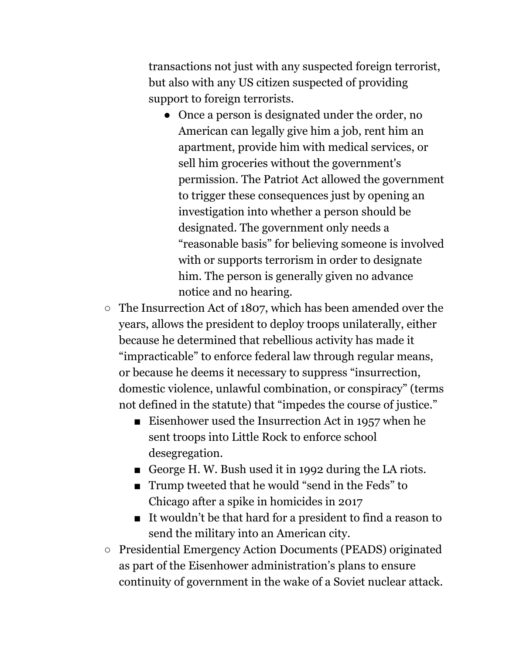transactions not just with any suspected foreign terrorist, but also with any US citizen suspected of providing support to foreign terrorists.

- Once a person is designated under the order, no American can legally give him a job, rent him an apartment, provide him with medical services, or sell him groceries without the government's permission. The Patriot Act allowed the government to trigger these consequences just by opening an investigation into whether a person should be designated. The government only needs a "reasonable basis" for believing someone is involved with or supports terrorism in order to designate him. The person is generally given no advance notice and no hearing.
- The Insurrection Act of 1807, which has been amended over the years, allows the president to deploy troops unilaterally, either because he determined that rebellious activity has made it "impracticable" to enforce federal law through regular means, or because he deems it necessary to suppress "insurrection, domestic violence, unlawful combination, or conspiracy" (terms not defined in the statute) that "impedes the course of justice."
	- Eisenhower used the Insurrection Act in 1957 when he sent troops into Little Rock to enforce school desegregation.
	- George H.W. Bush used it in 1992 during the LA riots.
	- Trump tweeted that he would "send in the Feds" to Chicago after a spike in homicides in 2017
	- It wouldn't be that hard for a president to find a reason to send the military into an American city.
- Presidential Emergency Action Documents (PEADS) originated as part of the Eisenhower administration's plans to ensure continuity of government in the wake of a Soviet nuclear attack.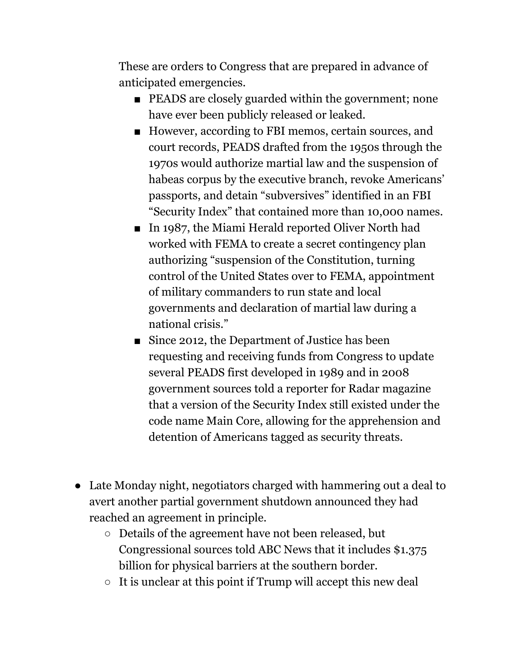These are orders to Congress that are prepared in advance of anticipated emergencies.

- PEADS are closely guarded within the government; none have ever been publicly released or leaked.
- However, according to FBI memos, certain sources, and court records, PEADS drafted from the 1950s through the 1970s would authorize martial law and the suspension of habeas corpus by the executive branch, revoke Americans' passports, and detain "subversives" identified in an FBI "Security Index" that contained more than 10,000 names.
- In 1987, the Miami Herald reported Oliver North had worked with FEMA to create a secret contingency plan authorizing "suspension of the Constitution, turning control of the United States over to FEMA, appointment of military commanders to run state and local governments and declaration of martial law during a national crisis."
- Since 2012, the Department of Justice has been requesting and receiving funds from Congress to update several PEADS first developed in 1989 and in 2008 government sources told a reporter for Radar magazine that a version of the Security Index still existed under the code name Main Core, allowing for the apprehension and detention of Americans tagged as security threats.
- Late Monday night, negotiators charged with hammering out a deal to avert another partial government shutdown announced they had reached an agreement in principle.
	- Details of the agreement have not been released, but Congressional sources told ABC News that it includes \$1.375 billion for physical barriers at the southern border.
	- $\circ$  It is unclear at this point if Trump will accept this new deal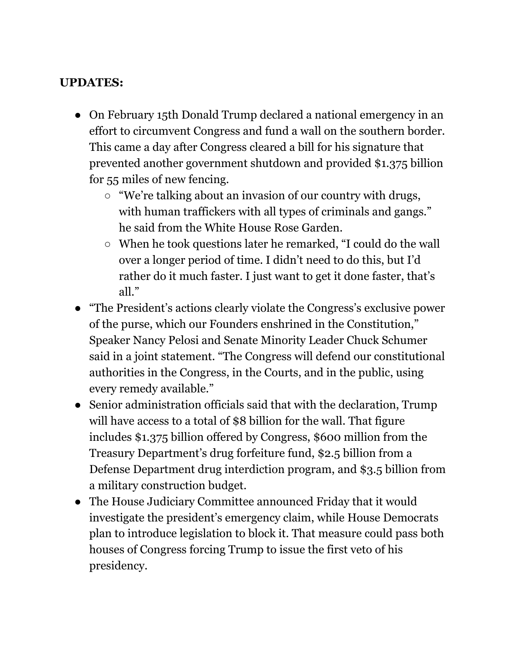## **UPDATES:**

- On February 15th Donald Trump declared a national emergency in an effort to circumvent Congress and fund a wall on the southern border. This came a day after Congress cleared a bill for his signature that prevented another government shutdown and provided \$1.375 billion for 55 miles of new fencing.
	- "We're talking about an invasion of our country with drugs, with human traffickers with all types of criminals and gangs." he said from the White House Rose Garden.
	- When he took questions later he remarked, "I could do the wall over a longer period of time. I didn't need to do this, but I'd rather do it much faster. I just want to get it done faster, that's all."
- "The President's actions clearly violate the Congress's exclusive power of the purse, which our Founders enshrined in the Constitution," Speaker Nancy Pelosi and Senate Minority Leader Chuck Schumer said in a joint statement. "The Congress will defend our constitutional authorities in the Congress, in the Courts, and in the public, using every remedy available."
- Senior administration officials said that with the declaration, Trump will have access to a total of \$8 billion for the wall. That figure includes \$1.375 billion offered by Congress, \$600 million from the Treasury Department's drug forfeiture fund, \$2.5 billion from a Defense Department drug interdiction program, and \$3.5 billion from a military construction budget.
- The House Judiciary Committee announced Friday that it would investigate the president's emergency claim, while House Democrats plan to introduce legislation to block it. That measure could pass both houses of Congress forcing Trump to issue the first veto of his presidency.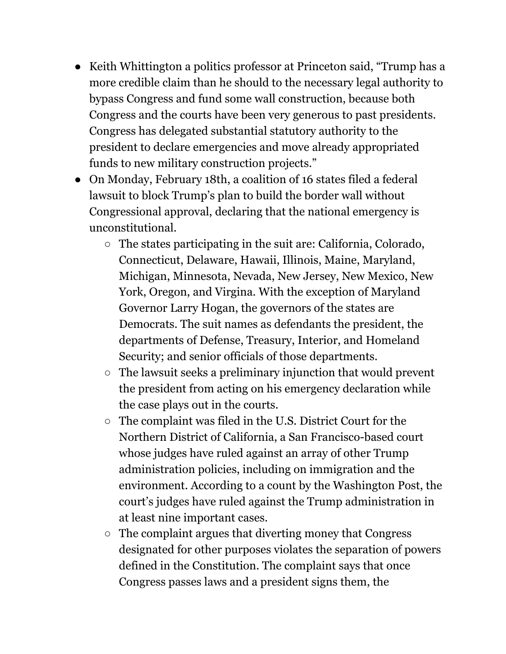- Keith Whittington a politics professor at Princeton said, "Trump has a more credible claim than he should to the necessary legal authority to bypass Congress and fund some wall construction, because both Congress and the courts have been very generous to past presidents. Congress has delegated substantial statutory authority to the president to declare emergencies and move already appropriated funds to new military construction projects."
- On Monday, February 18th, a coalition of 16 states filed a federal lawsuit to block Trump's plan to build the border wall without Congressional approval, declaring that the national emergency is unconstitutional.
	- The states participating in the suit are: California, Colorado, Connecticut, Delaware, Hawaii, Illinois, Maine, Maryland, Michigan, Minnesota, Nevada, New Jersey, New Mexico, New York, Oregon, and Virgina. With the exception of Maryland Governor Larry Hogan, the governors of the states are Democrats. The suit names as defendants the president, the departments of Defense, Treasury, Interior, and Homeland Security; and senior officials of those departments.
	- The lawsuit seeks a preliminary injunction that would prevent the president from acting on his emergency declaration while the case plays out in the courts.
	- The complaint was filed in the U.S. District Court for the Northern District of California, a San Francisco-based court whose judges have ruled against an array of other Trump administration policies, including on immigration and the environment. According to a count by the Washington Post, the court's judges have ruled against the Trump administration in at least nine important cases.
	- The complaint argues that diverting money that Congress designated for other purposes violates the separation of powers defined in the Constitution. The complaint says that once Congress passes laws and a president signs them, the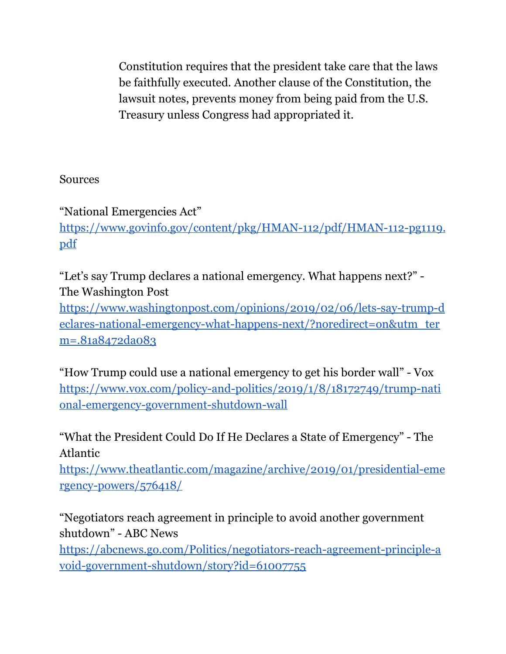Constitution requires that the president take care that the laws be faithfully executed. Another clause of the Constitution, the lawsuit notes, prevents money from being paid from the U.S. Treasury unless Congress had appropriated it.

## Sources

"National Emergencies Act" [https://www.govinfo.gov/content/pkg/HMAN-112/pdf/HMAN-112-pg1119.](https://www.govinfo.gov/content/pkg/HMAN-112/pdf/HMAN-112-pg1119.pdf) [pdf](https://www.govinfo.gov/content/pkg/HMAN-112/pdf/HMAN-112-pg1119.pdf)

"Let's say Trump declares a national emergency. What happens next?" - The Washington Post

[https://www.washingtonpost.com/opinions/2019/02/06/lets-say-trump-d](https://www.washingtonpost.com/opinions/2019/02/06/lets-say-trump-declares-national-emergency-what-happens-next/?noredirect=on&utm_term=.81a8472da083) [eclares-national-emergency-what-happens-next/?noredirect=on&utm\\_ter](https://www.washingtonpost.com/opinions/2019/02/06/lets-say-trump-declares-national-emergency-what-happens-next/?noredirect=on&utm_term=.81a8472da083) [m=.81a8472da083](https://www.washingtonpost.com/opinions/2019/02/06/lets-say-trump-declares-national-emergency-what-happens-next/?noredirect=on&utm_term=.81a8472da083)

"How Trump could use a national emergency to get his border wall" - Vox [https://www.vox.com/policy-and-politics/2019/1/8/18172749/trump-nati](https://www.vox.com/policy-and-politics/2019/1/8/18172749/trump-national-emergency-government-shutdown-wall) [onal-emergency-government-shutdown-wall](https://www.vox.com/policy-and-politics/2019/1/8/18172749/trump-national-emergency-government-shutdown-wall)

"What the President Could Do If He Declares a State of Emergency" - The Atlantic

[https://www.theatlantic.com/magazine/archive/2019/01/presidential-eme](https://www.theatlantic.com/magazine/archive/2019/01/presidential-emergency-powers/576418/) [rgency-powers/576418/](https://www.theatlantic.com/magazine/archive/2019/01/presidential-emergency-powers/576418/)

"Negotiators reach agreement in principle to avoid another government shutdown" - ABC News [https://abcnews.go.com/Politics/negotiators-reach-agreement-principle-a](https://abcnews.go.com/Politics/negotiators-reach-agreement-principle-avoid-government-shutdown/story?id=61007755) [void-government-shutdown/story?id=61007755](https://abcnews.go.com/Politics/negotiators-reach-agreement-principle-avoid-government-shutdown/story?id=61007755)